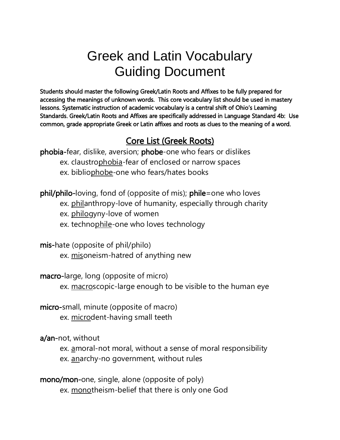# Greek and Latin Vocabulary Guiding Document

Students should master the following Greek/Latin Roots and Affixes to be fully prepared for accessing the meanings of unknown words. This core vocabulary list should be used in mastery lessons. Systematic instruction of academic vocabulary is a central shift of Ohio's Learning Standards. Greek/Latin Roots and Affixes are specifically addressed in Language Standard 4b: Use common, grade appropriate Greek or Latin affixes and roots as clues to the meaning of a word.

# Core List (Greek Roots)

phobia-fear, dislike, aversion; phobe-one who fears or dislikes ex. claustrophobia-fear of enclosed or narrow spaces ex. bibliophobe-one who fears/hates books

phil/philo-loving, fond of (opposite of mis); phile=one who loves

- ex. philanthropy-love of humanity, especially through charity
- ex. philogyny-love of women
- ex. technophile-one who loves technology

mis-hate (opposite of phil/philo) ex. misoneism-hatred of anything new

macro-large, long (opposite of micro) ex. macroscopic-large enough to be visible to the human eye

micro-small, minute (opposite of macro) ex. microdent-having small teeth

a/an-not, without

ex. amoral-not moral, without a sense of moral responsibility ex. anarchy-no government, without rules

mono/mon-one, single, alone (opposite of poly) ex. monotheism-belief that there is only one God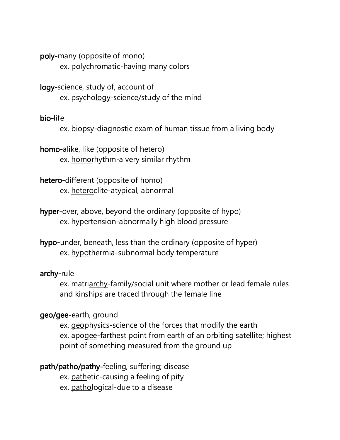poly-many (opposite of mono) ex. polychromatic-having many colors

logy-science, study of, account of ex. psychology-science/study of the mind

# bio-life

ex. biopsy-diagnostic exam of human tissue from a living body

homo-alike, like (opposite of hetero) ex. homorhythm-a very similar rhythm

hetero-different (opposite of homo) ex. heteroclite-atypical, abnormal

hyper-over, above, beyond the ordinary (opposite of hypo) ex. hypertension-abnormally high blood pressure

hypo-under, beneath, less than the ordinary (opposite of hyper) ex. hypothermia-subnormal body temperature

# archy-rule

ex. matriarchy-family/social unit where mother or lead female rules and kinships are traced through the female line

# geo/gee-earth, ground

ex. geophysics-science of the forces that modify the earth ex. apogee-farthest point from earth of an orbiting satellite; highest point of something measured from the ground up

# path/patho/pathy-feeling, suffering; disease

ex. pathetic-causing a feeling of pity

ex. pathological-due to a disease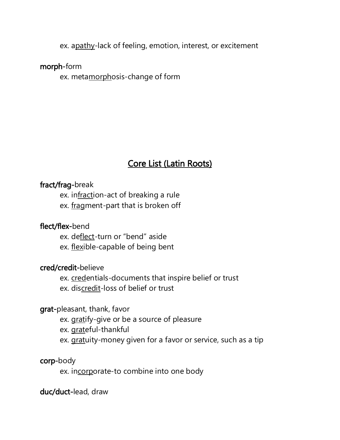ex. apathy-lack of feeling, emotion, interest, or excitement

#### morph-form

ex. metamorphosis-change of form

# Core List (Latin Roots)

# fract/frag-break

ex. infraction-act of breaking a rule ex. fragment-part that is broken off

# flect/flex-bend

ex. deflect-turn or "bend" aside ex. flexible-capable of being bent

#### cred/credit-believe

ex. credentials-documents that inspire belief or trust ex. discredit-loss of belief or trust

## grat-pleasant, thank, favor

ex. gratify-give or be a source of pleasure

ex. grateful-thankful

ex. gratuity-money given for a favor or service, such as a tip

#### corp-body

ex. incorporate-to combine into one body

# duc/duct-lead, draw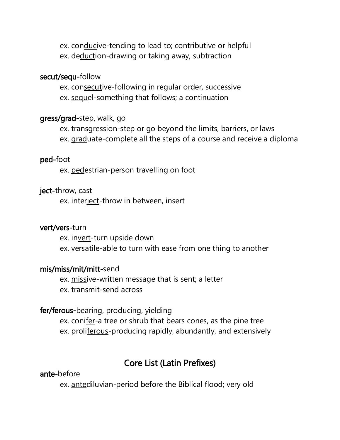ex. conducive-tending to lead to; contributive or helpful ex. deduction-drawing or taking away, subtraction

#### secut/sequ-follow

ex. consecutive-following in regular order, successive ex. sequel-something that follows; a continuation

# gress/grad-step, walk, go

ex. transgression-step or go beyond the limits, barriers, or laws ex. graduate-complete all the steps of a course and receive a diploma

#### ped-foot

ex. pedestrian-person travelling on foot

#### ject-throw, cast

ex. interject-throw in between, insert

#### vert/vers-turn

ex. invert-turn upside down ex. versatile-able to turn with ease from one thing to another

#### mis/miss/mit/mitt-send

ex. missive-written message that is sent; a letter ex. transmit-send across

## fer/ferous-bearing, producing, yielding

ex. conifer-a tree or shrub that bears cones, as the pine tree ex. proliferous-producing rapidly, abundantly, and extensively

# Core List (Latin Prefixes)

#### ante-before

ex. antediluvian-period before the Biblical flood; very old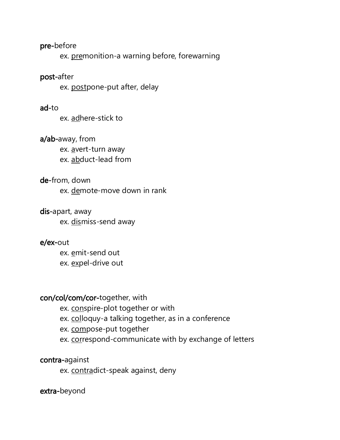#### pre-before

ex. premonition-a warning before, forewarning

#### post-after

ex. postpone-put after, delay

#### ad-to

ex. adhere-stick to

#### a/ab-away, from

ex. avert-turn away ex. abduct-lead from

#### de-from, down

ex. demote-move down in rank

#### dis-apart, away

ex. dismiss-send away

#### e/ex-out

ex. emit-send out ex. expel-drive out

#### con/col/com/cor-together, with

ex. conspire-plot together or with

ex. colloquy-a talking together, as in a conference

ex. compose-put together

ex. correspond-communicate with by exchange of letters

#### contra-against

ex. contradict-speak against, deny

#### extra-beyond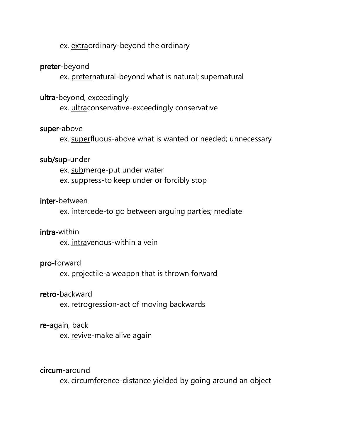# ex. extraordinary-beyond the ordinary

#### preter-beyond

ex. preternatural-beyond what is natural; supernatural

#### ultra-beyond, exceedingly

ex. ultraconservative-exceedingly conservative

#### super-above

ex. superfluous-above what is wanted or needed; unnecessary

#### sub/sup-under

ex. submerge-put under water ex. suppress-to keep under or forcibly stop

#### inter-between

ex. intercede-to go between arguing parties; mediate

#### intra-within

ex. intravenous-within a vein

#### pro-forward

ex. projectile-a weapon that is thrown forward

#### retro-backward

ex. retrogression-act of moving backwards

#### re-again, back

ex. revive-make alive again

#### circum-around

ex. circumference-distance yielded by going around an object